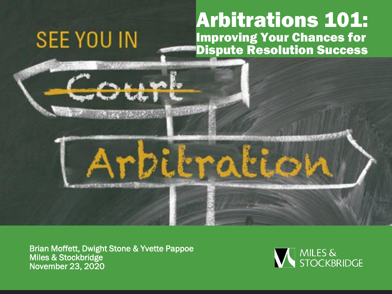#### Arbitrations 101: Improving Your Chances for Dispute Resolution Success

Brian Moffett, Dwight Stone & Yvette Pappoe Miles & Stockbridge November 23, 2020

**SEE YOU IN** 

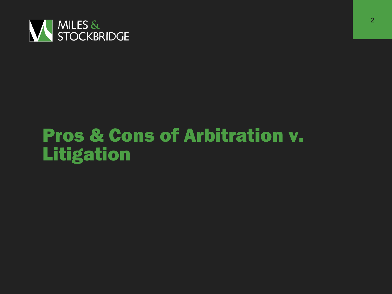

# Pros & Cons of Arbitration v. Litigation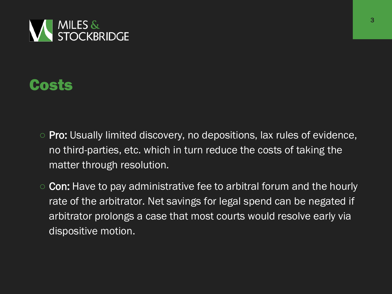

### Costs

- Pro: Usually limited discovery, no depositions, lax rules of evidence, no third-parties, etc. which in turn reduce the costs of taking the matter through resolution.
- Con: Have to pay administrative fee to arbitral forum and the hourly rate of the arbitrator. Net savings for legal spend can be negated if arbitrator prolongs a case that most courts would resolve early via dispositive motion.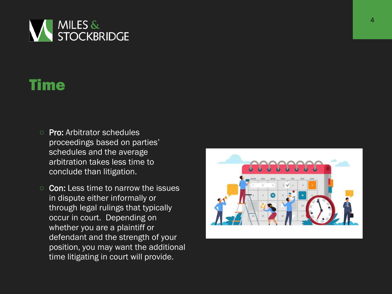

### Time

- Pro: Arbitrator schedules proceedings based on parties' schedules and the average arbitration takes less time to conclude than litigation.
- **Con:** Less time to narrow the issues in dispute either informally or through legal rulings that typically occur in court. Depending on whether you are a plaintiff or defendant and the strength of your position, you may want the additional time litigating in court will provide.

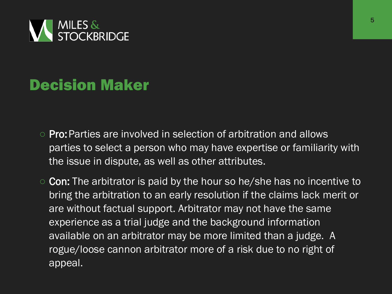

# Decision Maker

- Pro:Parties are involved in selection of arbitration and allows parties to select a person who may have expertise or familiarity with the issue in dispute, as well as other attributes.
- Con: The arbitrator is paid by the hour so he/she has no incentive to bring the arbitration to an early resolution if the claims lack merit or are without factual support. Arbitrator may not have the same experience as a trial judge and the background information available on an arbitrator may be more limited than a judge. A rogue/loose cannon arbitrator more of a risk due to no right of appeal.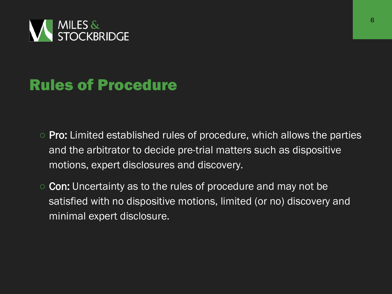

### Rules of Procedure

- Pro: Limited established rules of procedure, which allows the parties and the arbitrator to decide pre-trial matters such as dispositive motions, expert disclosures and discovery.
- Con: Uncertainty as to the rules of procedure and may not be satisfied with no dispositive motions, limited (or no) discovery and minimal expert disclosure.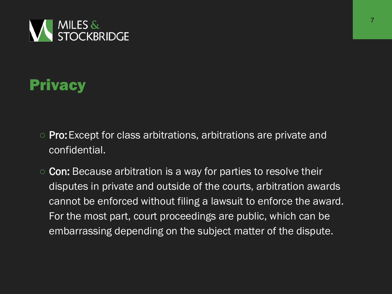

# **Privacy**

- Pro:Except for class arbitrations, arbitrations are private and confidential.
- Con: Because arbitration is a way for parties to resolve their disputes in private and outside of the courts, arbitration awards cannot be enforced without filing a lawsuit to enforce the award. For the most part, court proceedings are public, which can be embarrassing depending on the subject matter of the dispute.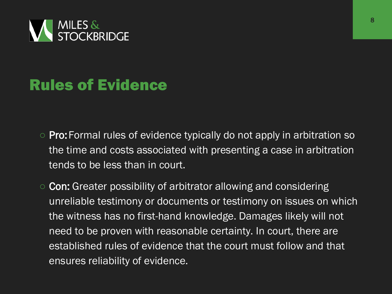

### Rules of Evidence

- Pro: Formal rules of evidence typically do not apply in arbitration so the time and costs associated with presenting a case in arbitration tends to be less than in court.
- Con: Greater possibility of arbitrator allowing and considering unreliable testimony or documents or testimony on issues on which the witness has no first-hand knowledge. Damages likely will not need to be proven with reasonable certainty. In court, there are established rules of evidence that the court must follow and that ensures reliability of evidence.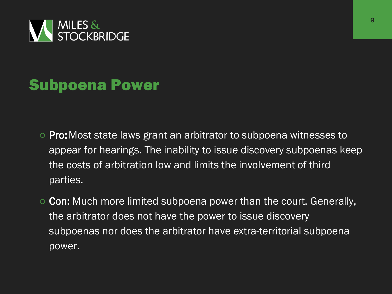

### Subpoena Power

- Pro: Most state laws grant an arbitrator to subpoena witnesses to appear for hearings. The inability to issue discovery subpoenas keep the costs of arbitration low and limits the involvement of third parties.
- Con: Much more limited subpoena power than the court. Generally, the arbitrator does not have the power to issue discovery subpoenas nor does the arbitrator have extra-territorial subpoena power.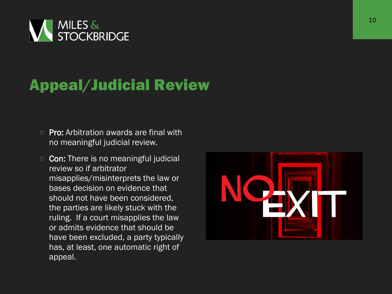

# Appeal/Judicial Review

- Pro: Arbitration awards are final with no meaningful judicial review.
- Con: There is no meaningful judicial review so if arbitrator misapplies/misinterprets the law or bases decision on evidence that should not have been considered, the parties are likely stuck with the ruling. If a court misapplies the law or admits evidence that should be have been excluded, a party typically has, at least, one automatic right of appeal.

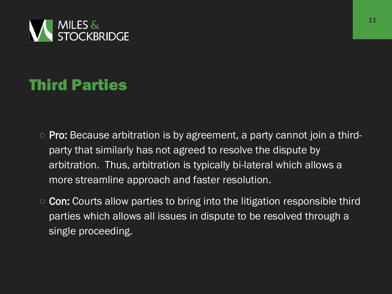

# Third Parties

- Pro: Because arbitration is by agreement, a party cannot join a thirdparty that similarly has not agreed to resolve the dispute by arbitration. Thus, arbitration is typically bi-lateral which allows a more streamline approach and faster resolution.
- Con: Courts allow parties to bring into the litigation responsible third parties which allows all issues in dispute to be resolved through a single proceeding.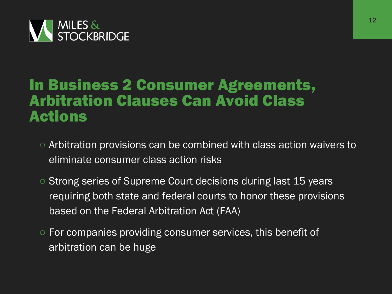

#### In Business 2 Consumer Agreements, Arbitration Clauses Can Avoid Class Actions

- Arbitration provisions can be combined with class action waivers to eliminate consumer class action risks
- Strong series of Supreme Court decisions during last 15 years requiring both state and federal courts to honor these provisions based on the Federal Arbitration Act (FAA)
- For companies providing consumer services, this benefit of arbitration can be huge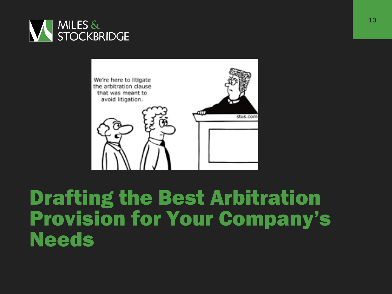



# Drafting the Best Arbitration Provision for Your Company's Needs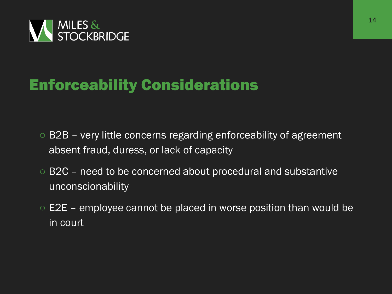

### Enforceability Considerations

- B2B very little concerns regarding enforceability of agreement absent fraud, duress, or lack of capacity
- B2C need to be concerned about procedural and substantive unconscionability
- $\circ$  E2E employee cannot be placed in worse position than would be in court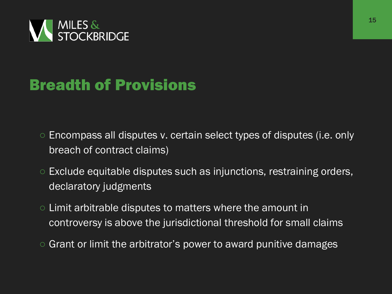

# Breadth of Provisions

- Encompass all disputes v. certain select types of disputes (i.e. only breach of contract claims)
- Exclude equitable disputes such as injunctions, restraining orders, declaratory judgments
- Limit arbitrable disputes to matters where the amount in controversy is above the jurisdictional threshold for small claims
- Grant or limit the arbitrator's power to award punitive damages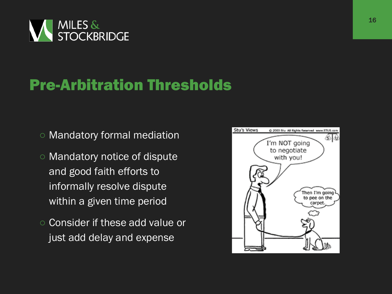

### Pre-Arbitration Thresholds

- Mandatory formal mediation
- Mandatory notice of dispute and good faith efforts to informally resolve dispute within a given time period
- Consider if these add value or just add delay and expense

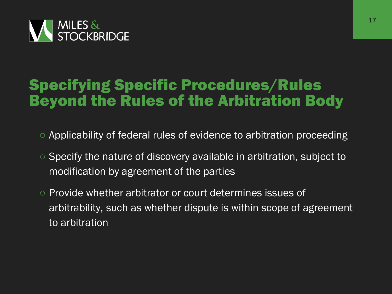

### Specifying Specific Procedures/Rules Beyond the Rules of the Arbitration Body

- Applicability of federal rules of evidence to arbitration proceeding
- Specify the nature of discovery available in arbitration, subject to modification by agreement of the parties
- Provide whether arbitrator or court determines issues of arbitrability, such as whether dispute is within scope of agreement to arbitration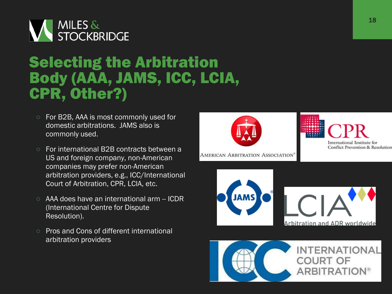

### Selecting the Arbitration Body (AAA, JAMS, ICC, LCIA, CPR, Other?)

- For B2B, AAA is most commonly used for domestic arbitrations. JAMS also is commonly used.
- For international B2B contracts between a US and foreign company, non-American companies may prefer non-American arbitration providers, e.g., ICC/International Court of Arbitration, CPR, LCIA, etc.
- AAA does have an international arm -- ICDR (International Centre for Dispute Resolution).
- **Pros and Cons of different international** arbitration providers



AMERICAN ARBITRATION ASSOCIATION<sup>®</sup>





International Institute for **Conflict Prevention & Resolution** 

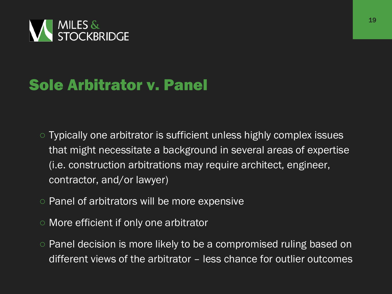

# Sole Arbitrator v. Panel

- Typically one arbitrator is sufficient unless highly complex issues that might necessitate a background in several areas of expertise (i.e. construction arbitrations may require architect, engineer, contractor, and/or lawyer)
- Panel of arbitrators will be more expensive
- More efficient if only one arbitrator
- Panel decision is more likely to be a compromised ruling based on different views of the arbitrator – less chance for outlier outcomes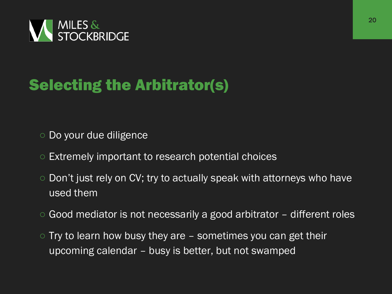

# Selecting the Arbitrator(s)

- Do your due diligence
- Extremely important to research potential choices
- Don't just rely on CV; try to actually speak with attorneys who have used them
- Good mediator is not necessarily a good arbitrator different roles
- $\circ$  Try to learn how busy they are  $-$  sometimes you can get their upcoming calendar – busy is better, but not swamped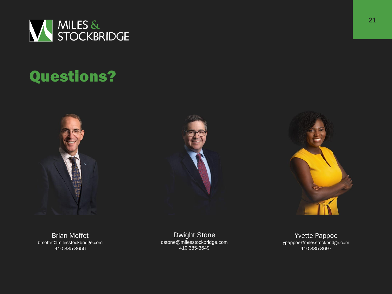

# Questions?







Brian Moffet bmoffet@milesstockbridge.com 410 385-3656

Dwight Stone dstone@milesstockbridge.com 410 385-3649

Yvette Pappoe ypappoe@milesstockbridge.com 410 385-3697